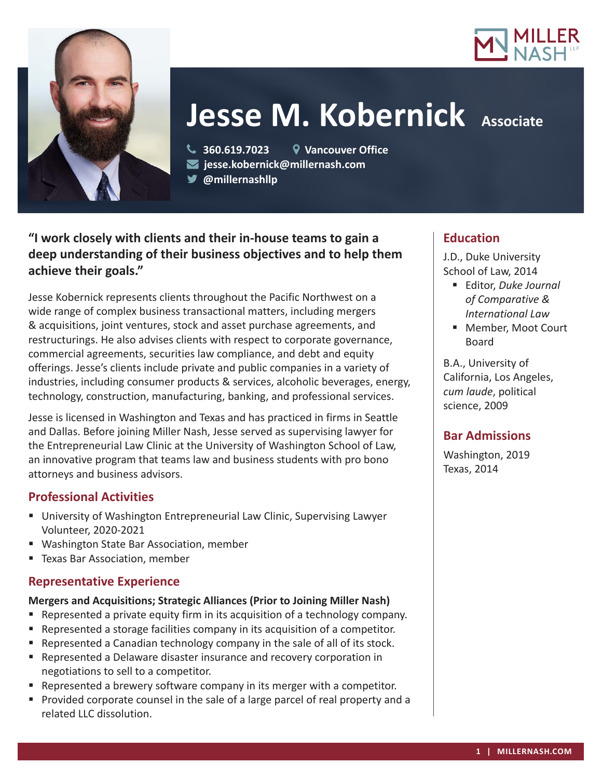



# **Jesse M. Kobernick Associate**

 **360.619.7023 Vancouver Office jesse.kobernick@millernash.com @millernashllp** 

# **"I work closely with clients and their in-house teams to gain a deep understanding of their business objectives and to help them achieve their goals."**

Jesse Kobernick represents clients throughout the Pacific Northwest on a wide range of complex business transactional matters, including mergers & acquisitions, joint ventures, stock and asset purchase agreements, and restructurings. He also advises clients with respect to corporate governance, commercial agreements, securities law compliance, and debt and equity offerings. Jesse's clients include private and public companies in a variety of industries, including consumer products & services, alcoholic beverages, energy, technology, construction, manufacturing, banking, and professional services.

Jesse is licensed in Washington and Texas and has practiced in firms in Seattle and Dallas. Before joining Miller Nash, Jesse served as supervising lawyer for the Entrepreneurial Law Clinic at the University of Washington School of Law, an innovative program that teams law and business students with pro bono attorneys and business advisors.

## **Professional Activities**

- University of Washington Entrepreneurial Law Clinic, Supervising Lawyer Volunteer, 2020-2021
- Washington State Bar Association, member
- **Texas Bar Association, member**

## **Representative Experience**

## **Mergers and Acquisitions; Strategic Alliances (Prior to Joining Miller Nash)**

- Represented a private equity firm in its acquisition of a technology company.
- Represented a storage facilities company in its acquisition of a competitor.
- Represented a Canadian technology company in the sale of all of its stock.
- Represented a Delaware disaster insurance and recovery corporation in negotiations to sell to a competitor.
- Represented a brewery software company in its merger with a competitor.
- **Provided corporate counsel in the sale of a large parcel of real property and a** related LLC dissolution.

## **Education**

J.D., Duke University School of Law, 2014

- Editor, *Duke Journal of Comparative & International Law*
- Member, Moot Court Board

B.A., University of California, Los Angeles, *cum laude*, political science, 2009

# **Bar Admissions**

Washington, 2019 Texas, 2014